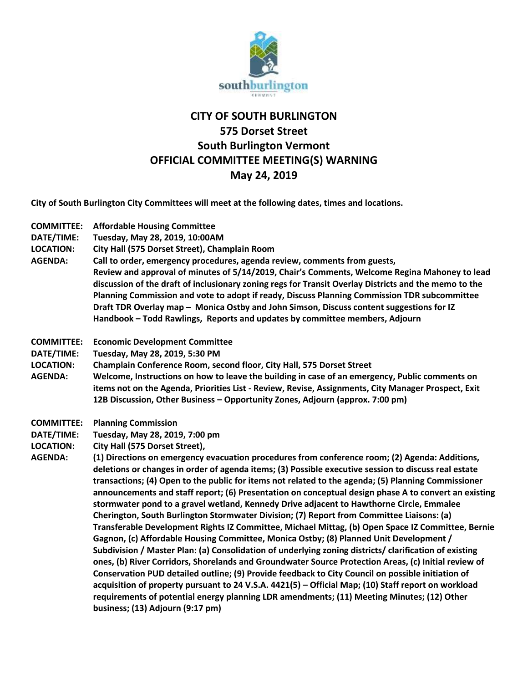

## **CITY OF SOUTH BURLINGTON 575 Dorset Street South Burlington Vermont OFFICIAL COMMITTEE MEETING(S) WARNING May 24, 2019**

**City of South Burlington City Committees will meet at the following dates, times and locations.** 

| <b>COMMITTEE:</b><br>DATE/TIME:<br><b>LOCATION:</b><br><b>AGENDA:</b> | <b>Affordable Housing Committee</b><br>Tuesday, May 28, 2019, 10:00AM<br>City Hall (575 Dorset Street), Champlain Room<br>Call to order, emergency procedures, agenda review, comments from guests,<br>Review and approval of minutes of 5/14/2019, Chair's Comments, Welcome Regina Mahoney to lead<br>discussion of the draft of inclusionary zoning regs for Transit Overlay Districts and the memo to the<br>Planning Commission and vote to adopt if ready, Discuss Planning Commission TDR subcommittee<br>Draft TDR Overlay map - Monica Ostby and John Simson, Discuss content suggestions for IZ<br>Handbook - Todd Rawlings, Reports and updates by committee members, Adjourn                                                                                                                                                                                                                                                                                                                                                                                                                                                                                                                                                                                                                                                                                                                                                                                        |
|-----------------------------------------------------------------------|---------------------------------------------------------------------------------------------------------------------------------------------------------------------------------------------------------------------------------------------------------------------------------------------------------------------------------------------------------------------------------------------------------------------------------------------------------------------------------------------------------------------------------------------------------------------------------------------------------------------------------------------------------------------------------------------------------------------------------------------------------------------------------------------------------------------------------------------------------------------------------------------------------------------------------------------------------------------------------------------------------------------------------------------------------------------------------------------------------------------------------------------------------------------------------------------------------------------------------------------------------------------------------------------------------------------------------------------------------------------------------------------------------------------------------------------------------------------------------|
| <b>COMMITTEE:</b><br>DATE/TIME:<br><b>LOCATION:</b><br><b>AGENDA:</b> | <b>Economic Development Committee</b><br>Tuesday, May 28, 2019, 5:30 PM<br>Champlain Conference Room, second floor, City Hall, 575 Dorset Street<br>Welcome, Instructions on how to leave the building in case of an emergency, Public comments on<br>items not on the Agenda, Priorities List - Review, Revise, Assignments, City Manager Prospect, Exit<br>12B Discussion, Other Business - Opportunity Zones, Adjourn (approx. 7:00 pm)                                                                                                                                                                                                                                                                                                                                                                                                                                                                                                                                                                                                                                                                                                                                                                                                                                                                                                                                                                                                                                      |
| <b>COMMITTEE:</b><br>DATE/TIME:<br><b>LOCATION:</b><br><b>AGENDA:</b> | <b>Planning Commission</b><br>Tuesday, May 28, 2019, 7:00 pm<br>City Hall (575 Dorset Street),<br>(1) Directions on emergency evacuation procedures from conference room; (2) Agenda: Additions,<br>deletions or changes in order of agenda items; (3) Possible executive session to discuss real estate<br>transactions; (4) Open to the public for items not related to the agenda; (5) Planning Commissioner<br>announcements and staff report; (6) Presentation on conceptual design phase A to convert an existing<br>stormwater pond to a gravel wetland, Kennedy Drive adjacent to Hawthorne Circle, Emmalee<br>Cherington, South Burlington Stormwater Division; (7) Report from Committee Liaisons: (a)<br>Transferable Development Rights IZ Committee, Michael Mittag, (b) Open Space IZ Committee, Bernie<br>Gagnon, (c) Affordable Housing Committee, Monica Ostby; (8) Planned Unit Development /<br>Subdivision / Master Plan: (a) Consolidation of underlying zoning districts/ clarification of existing<br>ones, (b) River Corridors, Shorelands and Groundwater Source Protection Areas, (c) Initial review of<br>Conservation PUD detailed outline; (9) Provide feedback to City Council on possible initiation of<br>acquisition of property pursuant to 24 V.S.A. 4421(5) - Official Map; (10) Staff report on workload<br>requirements of potential energy planning LDR amendments; (11) Meeting Minutes; (12) Other<br>business; (13) Adjourn (9:17 pm) |